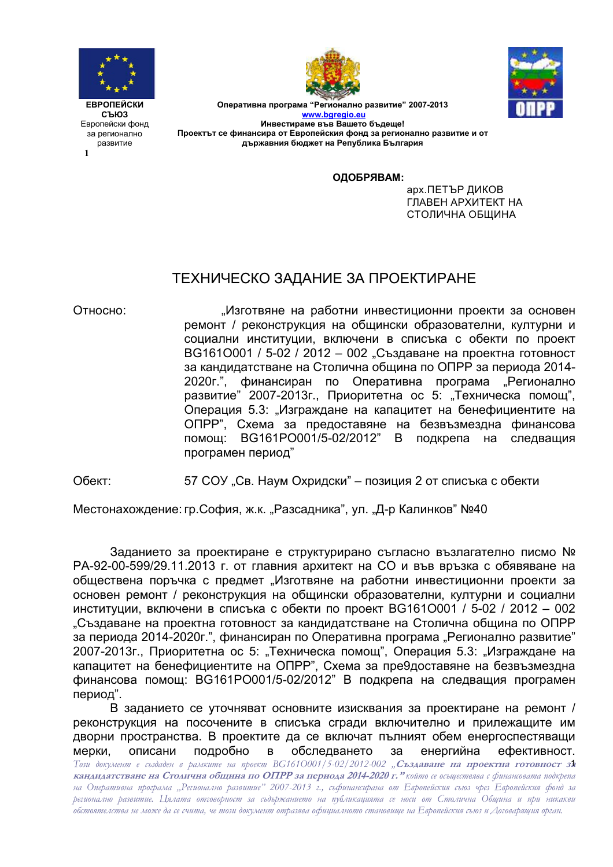

**1**





Оперативна програма "Регионално развитие" 2007-2013 **www.bgregio.eu Инвестираме във Вашето бъдеще!** Проектът се финансира от Европейския фонд за регионално развитие и от държавния бюджет на Република България

#### **ОДОБРЯВАМ:**

арх. ПЕТЪР ДИКОВ ГЛАВЕН АРХИТЕКТ НА СТОЛИЧНА ОБЩИНА

# ТЕХНИЧЕСКО ЗАДАНИЕ ЗА ПРОЕКТИРАНЕ

Относно: яне на работни инвестиционни проекти за основен ремонт / реконструкция на общински образователни, културни и социални институции, включени в списъка с обекти по проект ВG1610001 / 5-02 / 2012 - 002 "Създаване на проектна готовност за кандидатстване на Столична община по ОПРР за периода 2014-2020г.", финансиран по Оперативна програма "Регионално развитие" 2007-2013г., Приоритетна ос 5: "Техническа помощ", Операция 5.3: "Изграждане на капацитет на бенефициентите на ОПРР", Схема за предоставяне на безвъзмездна финансова помощ: BG161PO001/5-02/2012" В ащия програмен период"

Обект: Ул. Соу "Св. Наум Охридски" – позиция 2 от списъка с обекти

Местонахождение: гр.София, ж.к. "Разсадника", ул. "Д-р Калинков" №40

Заданието за проектиране е структурирано съгласно възлагателно писмо № РА-92-00-599/29.11.2013 г. от главния архитект на СО и във връзка с обявяване на обществена поръчка с предмет "Изготвяне на работни инвестиционни проекти за основен ремонт / реконструкция на общински образователни, културни и социални институции, включени в списъка с обекти по проект ВG1610001 / 5-02 / 2012 – 002 "Създаване на проектна готовност за кандидатстване на Столична община по ОПРР за периода 2014-2020г.", финансиран по Оперативна програма "Регионално развитие" 2007-2013г., Приоритетна ос 5: "Техническа помощ", Операция 5.3: "Изграждане на капацитет на бенефициентите на ОПРР", Схема за пре9доставяне на безвъзмездна финансова помощ: BG161PO001/5-02/2012" В подкрепа на следващия програмен период".

Този документ е създаден в рамките на проект BG161O001/5-02/2012-002 "**Създаване на проектна готовност за кандидатстване на Столична община по ОПРР за периода 2014-2020 г." който се осъществява с финансовата подкрепа** на Оперативна програма "Регионално развитие" 2007-2013 г., съфинансирана от Европейския съюз чрез Европейския фонд за регионално развитие. Цялата отговорност за съдържанието на публикацията се носи от Столична Община и при никакви обстоятелства не може да се счита, че този документ отразява офиџиалното становище на Европейския съюз и Договарящия орган. В заданието се уточняват основните изисквания за проектиране на ремонт / реконструкция на посочените в списъка сгради включително и прилежащите им дворни пространства. В проектите да се включат пълният обем енергоспестяващи мерки. , подробно в обследването за енергийна йна ефективност.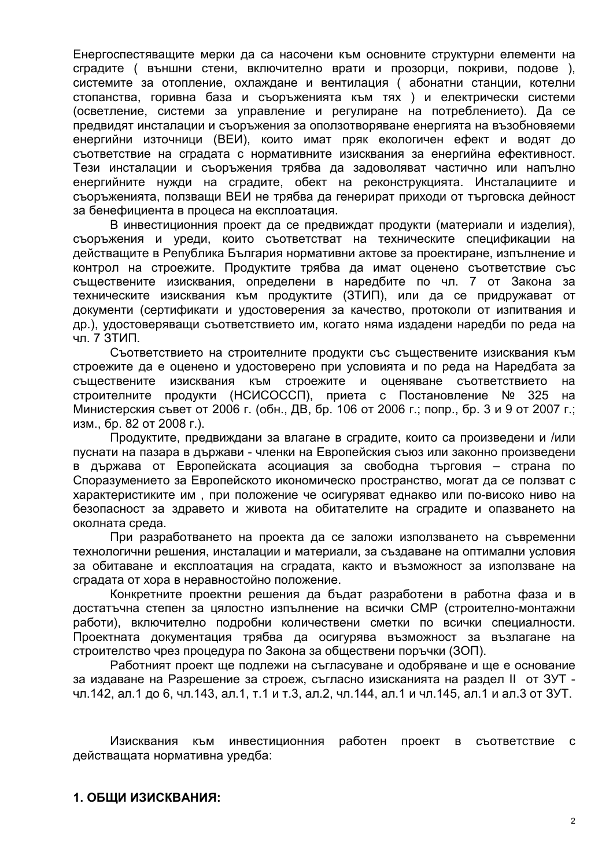Енергоспестяващите мерки да са насочени към основните структурни елементи на сградите ( външни стени, включително врати и прозорци, покриви, подове ), системите за отопление, охлаждане и вентилация (абонатни станции, котелни стопанства, горивна база и съоръженията към тях) и електрически системи (осветление, системи за управление и регулиране на потреблението). Да се предвидят инсталации и съоръжения за оползотворяване енергията на възобновяеми енергийни източници (ВЕИ), които имат пряк екологичен ефект и водят до съответствие на сградата с нормативните изисквания за енергийна ефективност. Тези инсталации и съоръжения трябва да задоволяват частично или напълно енергийните нужди на сградите, обект на реконструкцията. Инсталациите и съоръженията, ползващи ВЕИ не трябва да генерират приходи от търговска дейност за бенефициента в процеса на експлоатация.

В инвестиционния проект да се предвиждат продукти (материали и изделия), съоръжения и уреди, които съответстват на техническите спецификации на действащите в Република България нормативни актове за проектиране, изпълнение и контрол на строежите. Продуктите трябва да имат оценено съответствие със съществените изисквания, определени в наредбите по чл. 7 от Закона за техническите изисквания към продуктите (ЗТИП), или да се придружават от документи (сертификати и удостоверения за качество, протоколи от изпитвания и др.), удостоверяващи съответствието им, когато няма издадени наредби по реда на чл. 7 ЗТИП.

Съответствието на строителните продукти със съществените изисквания към строежите да е оценено и удостоверено при условията и по реда на Наредбата за съществените изисквания към строежите и оценяване съответствието на строителните продукти (НСИСОССП), приета с Постановление № 325 на Министерския съвет от 2006 г. (обн., ДВ, бр. 106 от 2006 г.; попр., бр. 3 и 9 от 2007 г.; изм., бр. 82 от 2008 г.).

Продуктите, предвиждани за влагане в сградите, които са произведени и /или пуснати на пазара в държави - членки на Европейския съюз или законно произведени в държава от Европейската асоциация за свободна търговия – страна по Споразумението за Европейското икономическо пространство, могат да се ползват с характеристиките им, при положение че осигуряват еднакво или по-високо ниво на безопасност за здравето и живота на обитателите на сградите и опазването на околната среда.

При разработването на проекта да се заложи използването на съвременни технологични решения, инсталации и материали, за създаване на оптимални условия за обитаване и експлоатация на сградата, както и възможност за използване на сградата от хора в неравностойно положение.

Конкретните проектни решения да бъдат разработени в работна фаза и в достатъчна степен за цялостно изпълнение на всички СМР (строително-монтажни работи), включително подробни количествени сметки по всички специалности. Проектната документация трябва да осигурява възможност за възлагане на строителство чрез процедура по Закона за обществени поръчки (ЗОП).

Работният проект ще подлежи на съгласуване и одобряване и ще е основание за издаване на Разрешение за строеж, съгласно изисканията на раздел II от ЗУТ чл.142, ал.1 до 6, чл.143, ал.1, т.1 и т.3, ал.2, чл.144, ал.1 и чл.145, ал.1 и ал.3 от ЗУТ.

Изисквания към инвестиционния работен проект  $B$ съответствие с действащата нормативна уредба: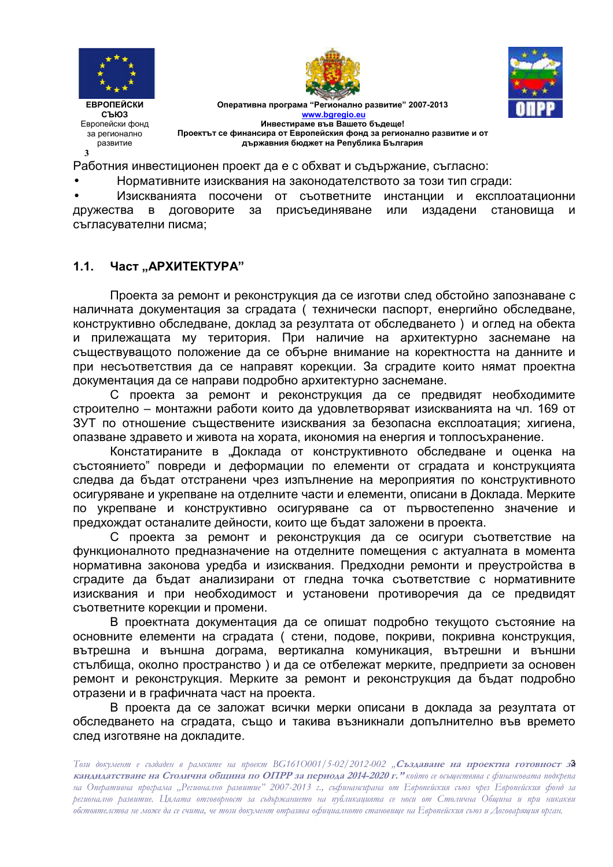





Оперативна програма "Регионално развитие" 2007-2013 www.bgregio.eu Инвестираме във Вашето бъдеше! Проектът се финансира от Европейския фонд за регионално развитие и от държавния бюджет на Република България

Работния инвестиционен проект да е с обхват и съдържание, съгласно:

Нормативните изисквания на законодателството за този тип сгради:

Изискванията посочени от съответните инстанции и експлоатационни присъединяване дружества договорите  $3a$ или издадени становиша и  $\mathbf{B}$ съгласувателни писма;

#### $1.1<sub>1</sub>$ Част "АРХИТЕКТУРА"

Проекта за ремонт и реконструкция да се изготви след обстойно запознаване с наличната документация за сградата ( технически паспорт, енергийно обследване, конструктивно обследване, доклад за резултата от обследването) и оглед на обекта и прилежащата му територия. При наличие на архитектурно заснемане на съществуващото положение да се обърне внимание на коректността на данните и при несъответствия да се направят корекции. За сградите които нямат проектна документация да се направи подробно архитектурно заснемане.

С проекта за ремонт и реконструкция да се предвидят необходимите строително - монтажни работи които да удовлетворяват изискванията на чл. 169 от ЗУТ по отношение съществените изисквания за безопасна експлоатация: хигиена. опазване здравето и живота на хората, икономия на енергия и топлосъхранение.

Констатираните в "Доклада от конструктивното обследване и оценка на състоянието" повреди и деформации по елементи от сградата и конструкцията следва да бъдат отстранени чрез изпълнение на мероприятия по конструктивното осигуряване и укрепване на отделните части и елементи, описани в Доклада. Мерките по укрепване и конструктивно осигуряване са от първостепенно значение и предхождат останалите дейности, които ще бъдат заложени в проекта.

С проекта за ремонт и реконструкция да се осигури съответствие на функционалното предназначение на отделните помещения с актуалната в момента нормативна законова уредба и изисквания. Предходни ремонти и преустройства в сградите да бъдат анализирани от гледна точка съответствие с нормативните изисквания и при необходимост и установени противоречия да се предвидят съответните корекции и промени.

В проектната документация да се опишат подробно текущото състояние на основните елементи на сградата (стени, подове, покриви, покривна конструкция, вътрешна и външна дограма, вертикална комуникация, вътрешни и външни стълбища, околно пространство) и да се отбележат мерките, предприети за основен ремонт и реконструкция. Мерките за ремонт и реконструкция да бъдат подробно отразени и в графичната част на проекта.

В проекта да се заложат всички мерки описани в доклада за резултата от обследването на сградата, също и такива възникнали допълнително във времето след изготвяне на докладите.

Този документ е създаден в рамките на проект ВG1610001/5-02/2012-002 "Създаване на проектна готовност за кандидатстване на Столична община по ОПРР за периода 2014-2020 г." който се осъществява с финансовата подкрепа на Оперативна програма "Регионално развитие" 2007-2013 г., съфинансирана от Европейския съюз чрез Европейския фонд за регионално развитие. Цялата отговорност за съдържанието на публикацията се носи от Столична Община и при никакви обстоятелства не може да се счита, че този документ отразява официалното становище на Европейския съюз и Договарящия орган.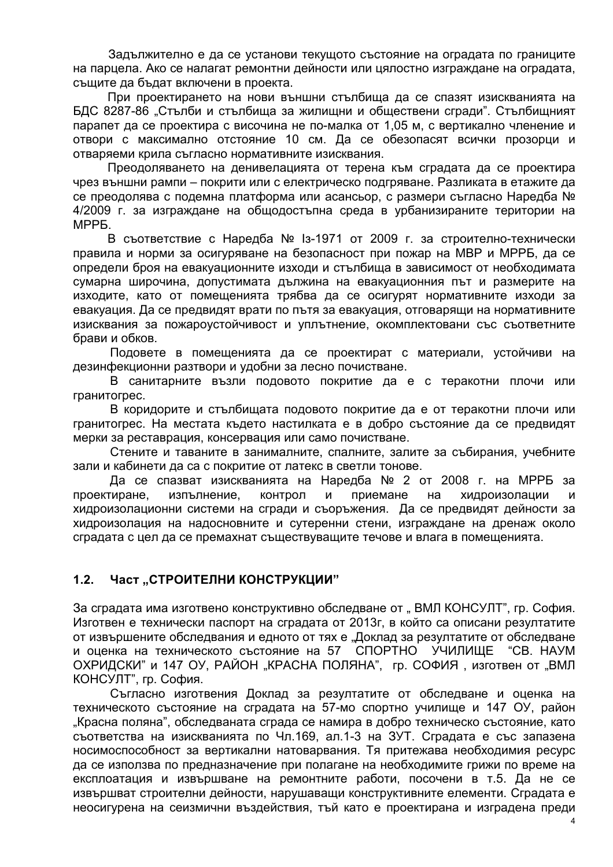Задължително е да се установи текущото състояние на оградата по границите на парцела. Ако се налагат ремонтни дейности или цялостно изграждане на оградата, същите да бъдат включени в проекта.

При проектирането на нови външни стълбища да се спазят изискванията на БДС 8287-86 "Стълби и стълбища за жилищни и обществени сгради". Стълбищният парапет да се проектира с височина не по-малка от 1,05 м, с вертикално членение и отвори с максимално отстояние 10 см. Да се обезопасят всички прозорци и отваряеми крила съгласно нормативните изисквания.

Преодоляването на денивелацията от терена към сградата да се проектира чрез външни рампи – покрити или с електрическо подгряване. Разликата в етажите да се преодолява с подемна платформа или асансьор, с размери съгласно Наредба № 4/2009 г. за изграждане на общодостъпна среда в урбанизираните територии на MPP<sub>B</sub>

В съответствие с Наредба № 13-1971 от 2009 г. за строително-технически правила и норми за осигуряване на безопасност при пожар на МВР и МРРБ, да се определи броя на евакуационните изходи и стълбища в зависимост от необходимата сумарна широчина, допустимата дължина на евакуационния път и размерите на изходите, като от помещенията трябва да се осигурят нормативните изходи за евакуация. Да се предвидят врати по пътя за евакуация, отговарящи на нормативните изисквания за пожароустойчивост и уплътнение, окомплектовани със съответните брави и обков.

Подовете в помещенията да се проектират с материали, устойчиви на дезинфекционни разтвори и удобни за лесно почистване.

В санитарните възли подовото покритие да е с теракотни плочи или гранитогрес.

В коридорите и стълбищата подовото покритие да е от теракотни плочи или гранитогрес. На местата където настилката е в добро състояние да се предвидят мерки за реставрация, консервация или само почистване.

Стените и таваните в занималните, спалните, залите за събирания, учебните зали и кабинети да са с покритие от латекс в светли тонове.

Да се спазват изискванията на Наредба № 2 от 2008 г. на МРРБ за проектиране, и изпълнение, контрол и и приемане на хи дроизолации и хидроизолационни системи на сгради и съоръжения. Да се предвидят дейности за хидроизолация на надосновните и сутеренни стени, изграждане на дренаж около сградата с цел да се премахнат съществуващите течове и влага в помещенията.

# 1.2. Част "СТРОИТЕЛНИ КОНСТРУКЦИИ"

За сградата има изготвено конструктивно обследване от "ВМЛ КОНСУЛТ", гр. София. Изготвен е технически паспорт на сградата от 2013г, в който са описани резултатите от извършените обследвания и едното от тях е "Доклад за резултатите от обследване и оценка на техническото състояние на 57 СПОРТНО УЧИЛИЩЕ "СВ. НАУМ ОХРИДСКИ" и 147 ОУ, РАЙОН "КРАСНА ПОЛЯНА", гр. СОФИЯ , изготвен от "ВМЛ КОНСУЛТ", гр. София.

Съгласно изготвения Доклад за резултатите от обследване и оценка на техническото състояние на сградата на 57-мо спортно училище и 147 ОУ, район "Красна поляна", обследваната сграда се намира в добро техническо състояние, като съответства на изискванията по Чл.169, ал.1-3 на ЗУТ. Сградата е със запазена носимоспособност за вертикални натоварвания. Тя притежава необходимия ресурс да се използва по предназначение при полагане на необходимите грижи по време на експлоатация и извършване на ремонтните работи, посочени в т.5. Да не се извършват строителни дейности, нарушаващи конструктивните елементи. Сградата е неосигурена на сеизмични въздействия, тъй като е проектирана и изградена преди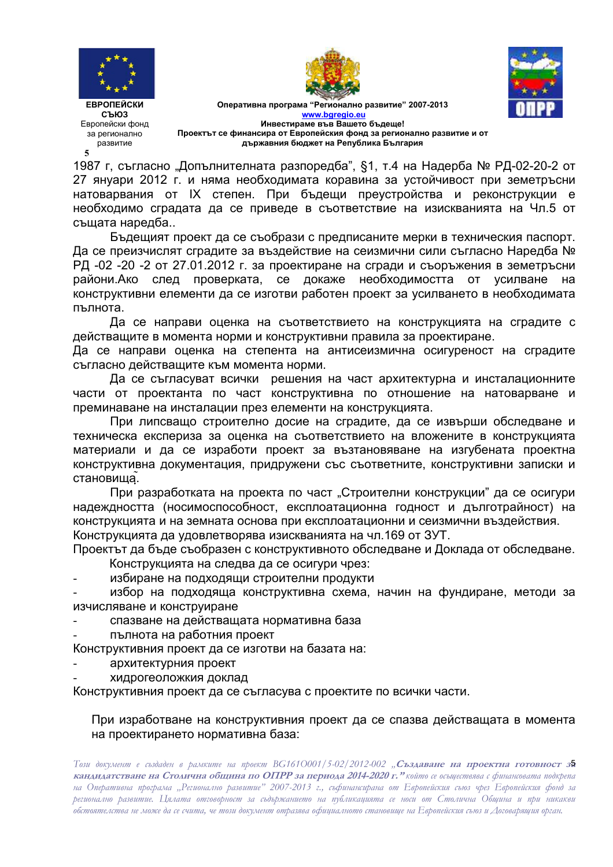





Оперативна програма "Регионално развитие" 2007-2013 **www.bgregio.eu Инвестираме във Вашето бъдеще!** Проектът се финансира от Европейския фонд за регионално развитие и от **държавния бюджет на Република България** 

1987 г, съгласно "Допълнителната разпоредба", §1, т.4 на Надерба № РД-02-20-2 от 27 януари 2012 г. и няма необходимата коравина за устойчивост при земетръсни натоварвания от IX степен. При бъдещи преустройства и реконструкции е необходимо сградата да се приведе в съответствие на изискванията на Чл.5 от същата наредба...

Бъдещият проект да се съобрази с предписаните мерки в техническия паспорт. Да се преизчислят сградите за въздействие на сеизмични сили съгласно Наредба № РД -02 -20 -2 от 27.01.2012 г. за проектиране на сгради и съоръжения в земетръсни райони.Ако след пров ерката, се докаже необходимостта от усилване на конструктивни елементи да се изготви работен проект за усилването в необходимата пълнота.

Да се направи оценка на съответствието на конструкцията на сградите с действащите в момента норми и конструктивни правила за проектиране.

Да се направи оценка на степента на антисеизмична осигуреност на сградите съгласно действащите към момента норми.

Да се съгласуват всички решения на част архитектурна и инсталационните части от проектанта по част конструктивна по отношение на натоварване и преминаване на инсталации през елементи на конструкцията.

При липсващо строително досие на сградите, да се извърши обследване и техническа експериза за оценка на съответствието на вложените в конструкцията материали и да се изработи проект за възтановяване на изгубената проектна конструктивна документация, придружени със съответните, конструктивни записки и становища̃.

При разработката на проекта по част "Строителни конструкции" да се осигури надеждността (носимоспособност, експлоатационна годност и дълготрайност) на конструкцията и на земната основа при експлоатационни и сеизмични въздействия. Конструкцията да удовлетворява изискванията на чл.169 от ЗУТ.

Проектът да бъде съобразен с конструктивното обследване и Доклада от обследване. Конструкцията на следва да се осигури чрез:

- избиране на подходящи строителни продукти

- избор на подходяща конструктивна схема, начин на фундиране, методи за изчисляване и конструиране

- спазване на действащата нормативна база
- пълнота на работния проект

Конструктивния проект да се изготви на базата на:

- архитектурния проект
- хидрогеоложкия доклад

Конструктивния проект да се съгласува с проектите по всички части.

При изработване на конструктивния проект да се спазва действащата в момента на проектирането нормативна база:

Този документ е създаден в рамките на проект BG161O001/5-02/2012-002 "**Създаване на проектна готовност за кандидатстване на Столична община по ОПРР за периода 2014-2020 г." който се осъществява с финансовата подкрепа** на Оперативна програма "Регионално развитие" 2007-2013 г., съфинансирана от Европейския съюз чрез Европейския фонд за регионално развитие. Цялата отговорност за съдържанието на публикацията се носи от Столична Община и при никакви обстоятелства не може да се счита, че този документ отразява офиџиалното становище на Европейския съюз и Договарящия орган.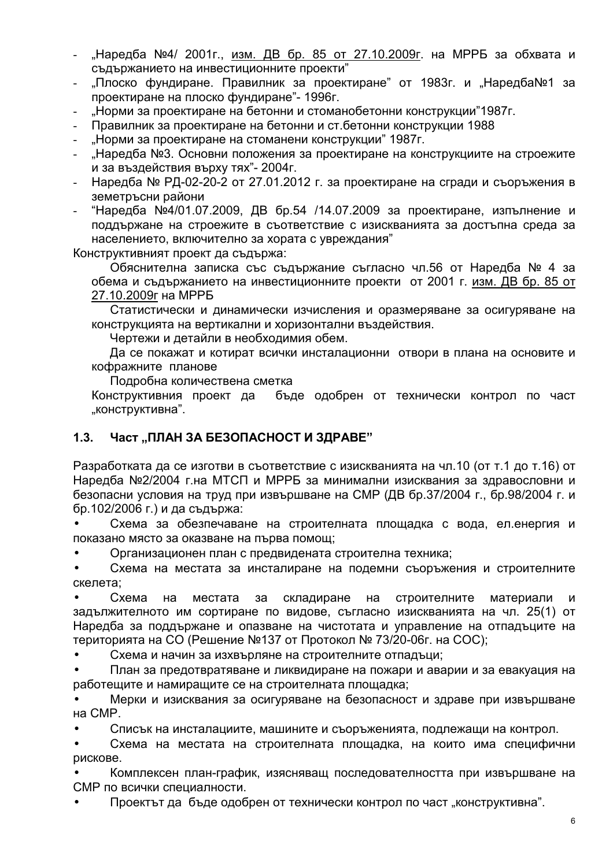- "Наредба №4/ 2001г., <u>изм. ДВ бр. 85 от 27.10.2009г</u>. на МРРБ за обхвата и съдържанието на инвестиционните проекти"
- "Плоско фундиране. Правилник за проектиране" от 1983г. и "Наредба№1 за проектиране на плоско фундиране"- 1996г.
- "Норми за проектиране на бетонни и стоманобетонни конструкции"1987г.
- Правилник за проектиране на бетонни и ст.бетонни конструкции 1988
- "Норми за проектиране на стоманени конструкции" 1987г.
- "Наредба №3. Основни положения за проектиране на конструкциите на строежите и за въздействия върху тях"- 2004г.
- Наредба № РД-02-20-2 от 27.01.2012 г. за проектиране на сгради и съоръжения в земетръсни райони
- "Наредба №4/01.07.2009, ДВ бр.54 /14.07.2009 за проектиране, изпълнение и поддържане на строежите в съответствие с изискванията за достъпна среда за населението, включително за хората с увреждания"

Конструктивният проект да съдържа:

Обяснителна записка със съдържание съгласно чл.56 от Наредба № 4 за обема и съдържанието на инвестиционните проекти от 2001 г. изм. ДВ бр. 85 от 27.10.2009r на МРРБ

Статистически и динамически изчисления и оразмеряване за осигуряване на конструкцията на вертикални и хоризонтални въздействия.

Чертежи и детайли в необходимия обем.

Да се покажат и котират всички инсталационни отвори в плана на основите и кофражните планове

Подробна количествена сметка

Конструктивния проект да бъде одобрен от технически контрол по част "конструктивна".

# **1.3. Част "ПЛАН ЗА БЕЗОПАСНОСТ И ЗДРАВЕ"**

Разработката да се изготви в съответствие с изискванията на чл.10 (от т.1 до т.16) от Наредба №2/2004 г. на МТСП и МРРБ за минимални изисквания за здравословни и безопасни условия на труд при извършване на СМР (ДВ бр.37/2004 г., бр.98/2004 г. и бр.102/2006 г.) и да съдържа:

• Схема за обезпечаване на строителната площадка с вода, ел.енергия и показано място за оказване на първа помощ;

• Организационен план с предвидената строителна техника;

• Схема на местата за инсталиране на подемни съоръжения и строителните скелета:

Схема на местата за складиране на строителните те материали и задължителното им сортиране по видове, съгласно изискванията на чл. 25(1) от Наредба за поддържане и опазване на чистотата и управление на отпадъците на територията на СО (Решение №137 от Протокол № 73/20-06г. на СОС);

• Схема и начин за изхвърляне на строителните отпадъци;

• План за предотвратяване и ликвидиране на пожари и аварии и за евакуация на работещите и намиращите се на строителната площадка;

• Мерки и изисквания за осигуряване на безопасност и здраве при извършване на CMP.

• Списък на инсталациите, машините и съоръженията, подлежащи на контрол.

• Схема на местата на строителната площадка, на които има специфични рискове.

• Комплексен план-график, изясняващ последователността при извършване на СМР по всички специалности.

• Проектът да бъде одобрен от технически контрол по част "конструктивна".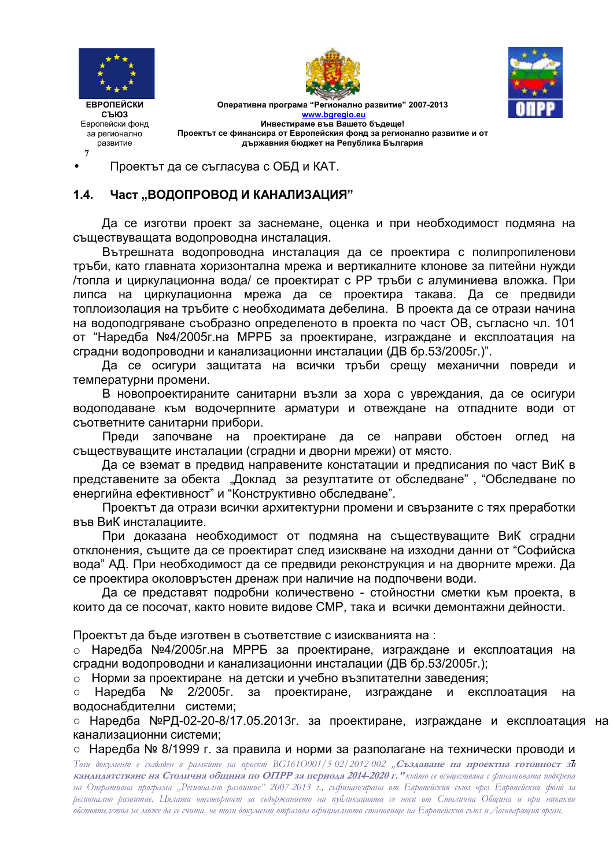

**7**





Оперативна програма "Регионално развитие" 2007-2013 **www.bgregio.eu Инвестираме във Вашето бъдеще!** Проектът се финансира от Европейския фонд за регионално развитие и от **държавния бюджет на Република България** 

• Проектът да се съгласува с ОБД и КАТ.

### 1.4. Част "ВОДОПРОВОД И КАНАЛИЗАЦИЯ"

Да се изготви проект за заснемане, оценка и при необходимост подмяна на съществуващата водопроводна инсталация.

Вътрешната водопроводна инсталация да се проектира с полипропиленови тръби, като главната хоризонтална мрежа и вертикалните клонове за питейни нужди /топла и циркулационна вода/ се проектират с PP тръби с алуминиева вложка. При липса на циркулационна мрежа да се проектира такава. Да се предвиди топлоизолация на тръбите с необходимата дебелина. В проекта да се отрази начина на водоподгряване съобразно определеното в проекта по част ОВ, съгласно чл. 101 от "Наредба №4/2005г.на МРРБ за проектиране, изграждане и експлоатация на сградни водопроводни и канализационни инсталации (ДВ бр.53/2005г.)".

Да се осигури защитата на всички тръби срещу механични повреди и температурни промени.

В новопроектираните санитарни възли за хора с увреждания, да се осигури водоподаване към водочерпните арматури и отвеждане на отпадните води от съответните санитарни прибори.

Преди започване на проектиране да се направи обстоен оглед на съществуващите инсталации (сградни и дворни мрежи) от място.

Да се вземат в предвид направените констатации и предписания по част ВиК в представените за обекта "Доклад за резултатите от обследване", "Обследване по енергийна ефективност" и "Конструктивно обследване".

Проектът да отрази всички архитектурни промени и свързаните с тях преработки във ВиК инсталациите.

При доказана необходимост от подмяна на съществуващите ВиК сградни отклонения, същите да се проектират след изискване на изходни данни от "Софийска вода" АД. При необходимост да се предвиди реконструкция и на дворните мрежи. Да се проектира околовръстен дренаж при наличие на подпочвени води.

Да се представят подробни количествено - стойностни сметки към проекта, в които да се посочат, както новите видове СМР, така и всички демонтажни дейности.

Проектът да бъде изготвен в съответствие с изискванията на :

⊙ Наредба №4/2005г.на МРРБ за проектиране, изграждане и експлоатация на сградни водопроводни и канализационни инсталации (ДВ бр.53/2005г.);

 $\circ$  Норми за проектиране на детски и учебно възпитателни заведения;

 $\circ$  Наредба № 2/2005г. за проектиране, изграждане и експлоатация на водоснабдителни системи;

⊙ Наредба №РД-02-20-8/17.05.2013г. за проектиране, изграждане и експлоатация на канализационни системи;

• Наредба № 8/1999 г. за правила и норми за разполагане на технически проводи и

Този документ е създаден в рамките на проект BG161O001/5-02/2012-002 "**Създаване на проектна готовност з** $\bar{\mathbf{a}}$ **кандидатстване на Столична община по ОПРР за периода 2014-2020 г." който се осъществява с финансовата подкрепа** на Оперативна програма "Регионално развитие" 2007-2013 г., съфинансирана от Европейския съюз чрез Европейския фонд за регионално развитие. Цялата отговорност за съдържанието на публикацията се носи от Столична Община и при никакви обстоятелства не може да се счита, че този документ отразява офиџиалното становище на Европейския съюз и Договарящия орган.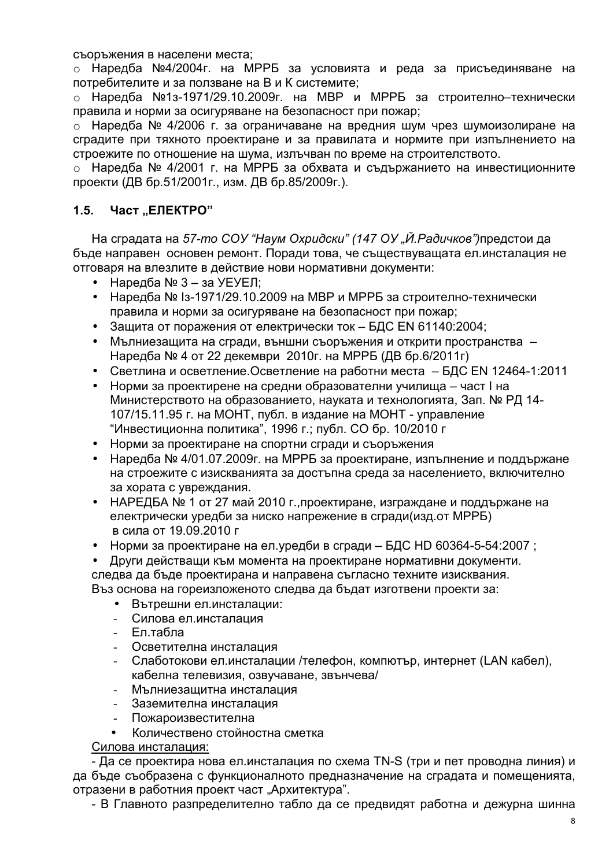съоръжения в населени места;

⊙ Наредба №4/2004г. на МРРБ за условията и реда за присъединяване на потребителите и за ползване на В и К системите;

⊙ Наредба №1з-1971/29.10.2009г. на МВР и МРРБ за строително–технически правила и норми за осигуряване на безопасност при пожар;

⊙ Наредба № 4/2006 г. за ограничаване на вредния шум чрез шумоизолиране на сградите при тяхното проектиране и за правилата и нормите при изпълнението на строежите по отношение на шума, излъчван по време на строителството.

⊙ Наредба № 4/2001 г. на МРРБ за обхвата и съдържанието на инвестиционните проекти (ДВ бр.51/2001г., изм. ДВ бр.85/2009г.).

## 1.5. Част .. ЕЛЕКТРО"

На сградата на 57-*mo COУ "Наум Охридски" (147 ОУ "Й.Радичков")*предстои да бъде направен основен ремонт. Поради това, че съществуващата ел.инсталация не отговаря на влезлите в действие нови нормативни документи:

- Наредба  $N<sub>2</sub>$  3 за УЕУЕЛ:
- Наредба № 1з-1971/29.10.2009 на МВР и МРРБ за строително-технически правила и норми за осигуряване на безопасност при пожар;
- Защита от поражения от електрически ток БДС EN 61140:2004;
- Мълниезащита на сгради, външни съоръжения и открити пространства -Наредба № 4 от 22 декември 2010г. на МРРБ (ДВ бр.6/2011г)
- Светлина и осветление. Осветление на работни места БДС EN 12464-1:2011
- Норми за проектирене на средни образователни училища част I на Министерството на образованието, науката и технологията, Зап. № РД 14-107/15.11.95 г. на МОНТ, публ. в издание на МОНТ - управление "Инвестиционна политика", 1996 г.; публ. СО бр. 10/2010 г
- Норми за проектиране на спортни сгради и съоръжения
- Наредба № 4/01.07.2009г. на МРРБ за проектиране, изпълнение и поддържане на строежите с изискванията за достъпна среда за населението, включително за хората с увреждания.
- НАРЕДБА № 1 от 27 май 2010 г., проектиране, изграждане и поддържане на електрически уредби за ниско напрежение в сгради(изд.от МРРБ) в сила от 19.09.2010 г
- Норми за проектиране на ел.уредби в сгради БДС HD 60364-5-54:2007;
- Други действащи към момента на проектиране нормативни документи.

следва да бъде проектирана и направена съгласно техните изисквания.

Въз основа на гореизложеното следва да бъдат изготвени проекти за:

- Вътрешни ел.инсталации:
- Силова ел.инсталация
- Ептабла
- Осветителна инсталация
- Слаботокови ел.инсталации /телефон, компютър, интернет (LAN кабел), кабелна телевизия, озвучаване, звънчева/
- Мълниезащитна инсталация
- Заземителна инсталация
- Пожароизвестителна
- Количествено стойностна сметка

<u>Силова инсталация:</u>

- Да се проектира нова ел.инсталация по схема TN-S (три и пет проводна линия) и да бъде съобразена с функционалното предназначение на сградата и помещенията, отразени в работния проект част "Архитектура".

- В Главното разпределително табло да се предвидят работна и дежурна шинна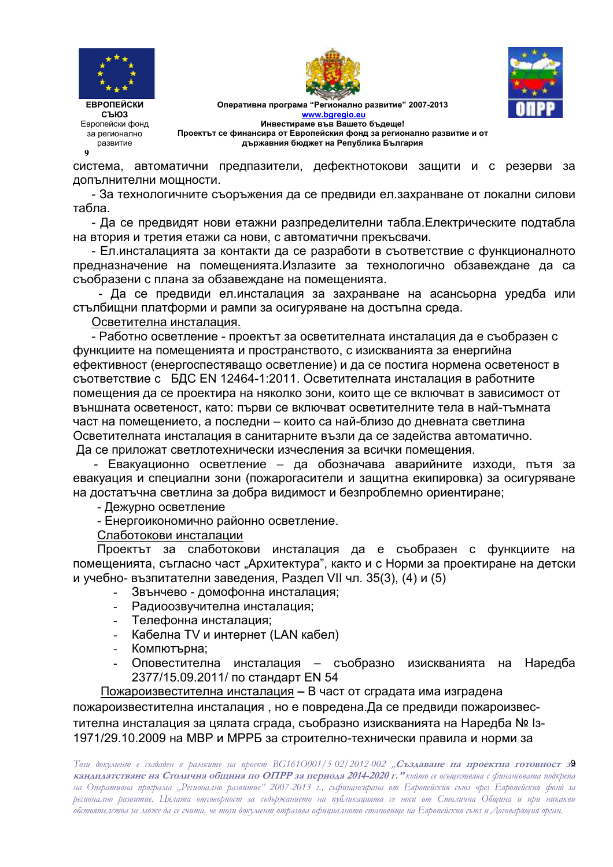

**9**





Оперативна програма "Регионално развитие" 2007-2013 **www.bgregio.eu Инвестираме във Вашето бъдеще!** Проектът се финансира от Европейския фонд за регионално развитие и от **държавния бюджет на Република България** 

система, автоматични предпазители, дефектнотокови защити и с резерви за допълнителни мощности.

- За технологичните съоръжения да се предвиди ел.захранване от локални силови табла.

- Да се предвидят нови етажни разпределителни табла. Електрическите подтабла на втория и третия етажи са нови, с автоматични прекъсвачи.

- Ел.инсталацията за контакти да се разработи в съответствие с функционалното предназначение на помещенията.Излазите за технологично обзавеждане да са съобразени с плана за обзавеждане на помещенията.

- Да се предвиди ел.инсталация за захранване на асансьорна уредба или стълбищни платформи и рампи за осигуряване на достъпна среда.

<u>Осветителна инсталация.</u>

- Работно осветление - проектът за осветителната инсталация да е съобразен с функциите на помещенията и пространството, с изискванията за енергийна ефективност (енергоспестяващо осветление) и да се постига нормена осветеност в съответствие с БДС EN 12464-1:2011. Осветителната инсталация в работните помещения да се проектира на няколко зони, които ще се включват в зависимост от външната осветеност, като: първи се включват осветителните тела в най-тъмната част на помещението, а последни – които са най-близо до дневната светлина Осветителната инсталация в санитарните възли да се задейства автоматично. Да се приложат светлотехнически изчесления за всички помещения.

- Евакуационно осветление – да обозначава аварийните изходи, пътя за евакуация и специални зони (пожарогасители и защитна екипировка) за осигуряване на достатъчна светлина за добра видимост и безпроблемно ориентиране;

- Дежурно осветление

- Енергоикономично районно осветление.

<u>Слаботокови инсталации</u>

Проектът за слаботокови инсталация да е съобразен с функциите на помещенията, съгласно част "Архитектура", както и с Норми за проектиране на детски и учебно- възпитателни заведения, Раздел VII чл. 35(3), (4) и (5)

- Звънчево домофонна инсталация;
- Радиоозвучителна инсталация;
- Телефонна инсталация;
- Кабелна TV и интернет (LAN кабел)
- Компютърна:
- Оповестителна инсталация съобразно изисквани Наредба 2377/15.09.2011/ по стандарт EN 54

Пожароизвестителна инсталация - В част от сградата има изградена пожароизвестителна инсталация, но е повредена.Да се предвиди пожароизвестителна инсталация за цялата сграда, съобразно изискванията на Наредба № 1з-1971/29.10.2009 на МВР и МРРБ за строително-технически правила и норми за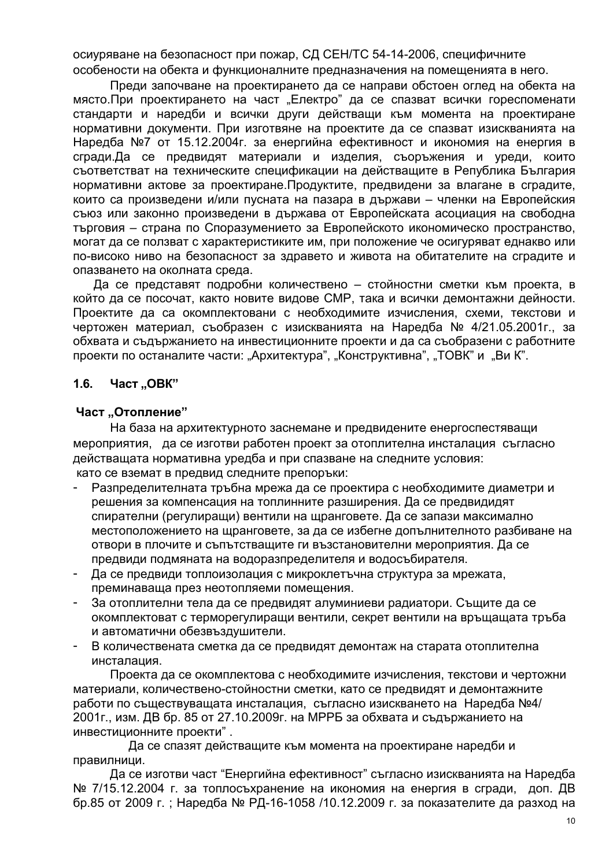осиуряване на безопасност при пожар, СД СЕН/ТС 54-14-2006, специфичните особености на обекта и функционалните предназначения на помещенията в него.

Преди започване на проектирането да се направи обстоен оглед на обекта на място. При проектирането на част "Електро" да се спазват всички гореспоменати стандарти и наредби и всички други действащи към момента на проектиране нормативни документи. При изготвяне на проектите да се спазват изискванията на Наредба №7 от 15.12.2004г. за енергийна ефективност и икономия на енергия в сгради. Да се предвидят материали и изделия, съоръжения и уреди, които съответстват на техническите спецификации на действащите в Република България нормативни актове за проектиране. Продуктите, предвидени за влагане в сградите, които са произведени и/или пусната на пазара в държави – членки на Европейския съюз или законно произведени в държава от Европейската асоциация на свободна търговия – страна по Споразумението за Европейското икономическо пространство. могат да се ползват с характеристиките им, при положение че осигуряват еднакво или по-високо ниво на безопасност за здравето и живота на обитателите на сградите и опазването на околната среда.

Да се представят подробни количествено – стойностни сметки към проекта, в който да се посочат, както новите видове СМР, така и всички демонтажни дейности. Проектите да са окомплектовани с необходимите изчисления, схеми, текстови и чертожен материал, съобразен с изискванията на Наредба № 4/21.05.2001г., за обхвата и съдържанието на инвестиционните проекти и да са съобразени с работните проекти по останалите части: "Архитектура", "Конструктивна", "ТОВК" и "Ви К".

#### $1.6.$ Част "ОВК"

### Част "Отопление"

На база на архитектурното заснемане и предвидените енергоспестяващи мероприятия, да се изготви работен проект за отоплителна инсталация съгласно действащата нормативна уредба и при спазване на следните условия: като се вземат в предвид следните препоръки:

- Разпределителната тръбна мрежа да се проектира с необходимите диаметри и решения за компенсация на топлинните разширения. Да се предвидидят спирателни (регулиращи) вентили на щранговете. Да се запази максимално местоположението на щранговете, за да се избегне допълнителното разбиване на отвори в плочите и съпътстващите ги възстановителни мероприятия. Да се предвиди подмяната на водоразпределителя и водосъбирателя.
- Да се предвиди топлоизолация с микроклетъчна структура за мрежата. преминаваща през неотопляеми помещения.
- За отоплителни тела да се предвидят алуминиеви радиатори. Същите да се окомплектоват с терморегулиращи вентили, секрет вентили на връщащата тръба и автоматични обезвъздушители.
- В количествената сметка да се предвидят демонтаж на старата отоплителна инсталация.

Проекта да се окомплектова с необходимите изчисления, текстови и чертожни материали, количествено-стойностни сметки, като се предвидят и демонтажните работи по съществуващата инсталация, съгласно изискването на Наредба №4/ 2001г., изм. ДВ бр. 85 от 27.10.2009г. на МРРБ за обхвата и съдържанието на инвестиционните проекти".

Да се спазят действащите към момента на проектиране наредби и правилници.

Да се изготви част "Енергийна ефективност" съгласно изискванията на Наредба № 7/15.12.2004 г. за топлосъхранение на икономия на енергия в сгради, доп. ДВ бр.85 от 2009 г.; Наредба № РД-16-1058 /10.12.2009 г. за показателите да разход на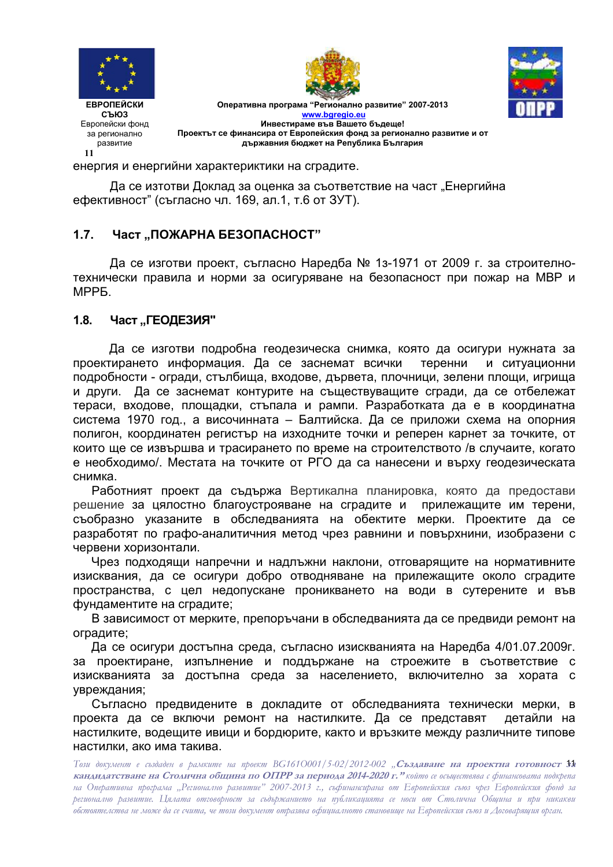

**11** 





Оперативна програма "Регионално развитие" 2007-2013 **www.bgregio.eu Инвестираме във Вашето бъдеще!** Проектът се финансира от Европейския фонд за регионално развитие и от **държавния бюджет на Република България** 

енергия и енергийни характериктики на сградите.

Да се изтотви Доклад за оценка за съответствие на част "Енергийна ефективност" (съгласно чл. 169, ал.1, т.6 от ЗУТ).

## 1.7. Част "ПОЖАРНА БЕЗОПАСНОСТ"

Да се изготви проект, съгласно Наредба № 1з-1971 от 2009 г. за строителнотехнически правила и норми за осигуряване на безопасност при пожар на МВР и MPP<sub>5</sub>

#### 1.8. Част "ГЕОДЕЗИЯ"

Да се изготви подробна геодезическа снимка, която да осигури нужната за проектирането информация. Да се заснемат всички теренни и и ситуационни подробности - огради, стълбища, входове, дървета, плочници, зелени площи, игрища и други. Да се заснемат контурите на съществуващите сгради, да се отбележат тераси, входове, площадки, стъпала и рампи. Разработката да е в координатна система 1970 год., а височинната – Балтийска. Да се приложи схема на опорния полигон, координатен регистър на изходните точки и реперен карнет за точките, от които ще се извършва и трасирането по време на строителството /в случаите, когато е необходимо/. Местата на точките от РГО да са нанесени и върху геодезическата снимка.

Работният проект да съдържа Вертикална планировка, която да предостави решение за цялостно благоустрояване на сградите и прилежащите им терени, съобразно указаните в обследванията на обектите мерки. Проектите да се разработят по графо-аналитичния метод чрез равнини и повърхнини, изобразени с червени хоризонтали.

Чрез подходящи напречни и надлъжни наклони, отговарящите на нормативните изисквания, да се осигури добро отводняване на прилежащите около сградите пространства, с цел недопускане проникването на води в сутерените и във фундаментите на сградите;

В зависимост от мерките, препоръчани в обследванията да се предвиди ремонт на оградите;

Да се осигури достъпна среда, съгласно изискванията на Наредба 4/01.07.2009г. за проектиране, изпълнение и поддържане на строежите в съответствие с изискванията за достъпна среда за населението, включително за хората с увреждания;

Съгласно предвидените в докладите от обследванията технически мерки, в проекта да се включи ремонт на настилките. Да се представ ят детайли на настилките, водещите ивици и бордюрите, както и връзките между различните типове настилки, ако има такива.

Този документ е създаден в рамките на проект BG161O001/5-02/2012-002 "**Създаване на проектна готовност № кандидатстване на Столична община по ОПРР за периода 2014-2020 г." който се осъществява с финансовата подкрепа** на Оперативна програма "Регионално развитие" 2007-2013 г., съфинансирана от Европейския съюз чрез Европейския фонд за регионално развитие. Цялата отговорност за съдържанието на публикацията се носи от Столична Община и при никакви обстоятелства не може да се счита, че този документ отразява офиџиалното становище на Европейския съюз и Договарящия орган.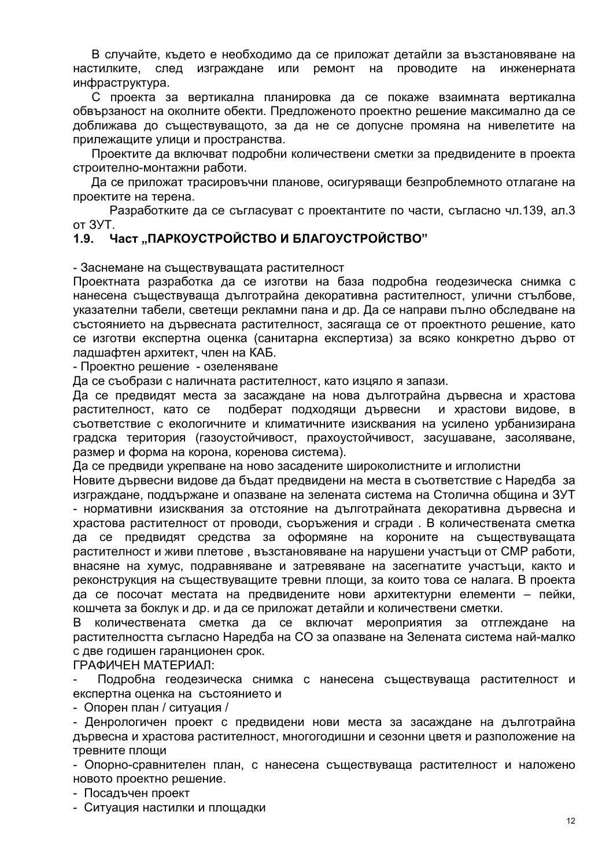В случайте, където е необходимо да се приложат детайли за възстановяване на след изграждане или ремонт на проводите настилките, на инженерната инфраструктура.

С проекта за вертикална планировка да се покаже взаимната вертикална обвързаност на околните обекти. Предложеното проектно решение максимално да се доближава до съществуващото, за да не се допусне промяна на нивелетите на прилежащите улици и пространства.

Проектите да включват подробни количествени сметки за предвидените в проекта строително-монтажни работи.

Да се приложат трасировъчни планове, осигуряващи безпроблемното отлагане на проектите на терена.

Разработките да се съгласуват с проектантите по части, съгласно чл.139, ал.3 от ЗУТ.

#### Част "ПАРКОУСТРОЙСТВО И БЛАГОУСТРОЙСТВО"  $1.9.$

- Заснемане на съществуващата растителност

Проектната разработка да се изготви на база подробна геодезическа снимка с нанесена съществуваща дълготрайна декоративна растителност, улични стълбове, указателни табели, светещи рекламни пана и др. Да се направи пълно обследване на състоянието на дървесната растителност, засягаща се от проектното решение, като се изготви експертна оценка (санитарна експертиза) за всяко конкретно дърво от ладшафтен архитект, член на КАБ.

- Проектно решение - озеленяване

Да се съобрази с наличната растителност, като изцяло я запази.

Да се предвидят места за засаждане на нова дълготрайна дървесна и храстова растителност, като се подберат подходящи дървесни и храстови видове, в съответствие с екологичните и климатичните изисквания на усилено урбанизирана градска територия (газоустойчивост, прахоустойчивост, засушаване, засоляване, размер и форма на корона, коренова система).

Да се предвиди укрепване на ново засадените широколистните и иглолистни

Новите дървесни видове да бъдат предвидени на места в съответствие с Наредба за изграждане, поддържане и опазване на зелената система на Столична община и ЗУТ - нормативни изисквания за отстояние на дълготрайната декоративна дървесна и храстова растителност от проводи, съоръжения и сгради. В количествената сметка да се предвидят средства за оформяне на короните на съществуващата растителност и живи плетове, възстановяване на нарушени участъци от СМР работи, внасяне на хумус, подравняване и затревяване на засегнатите участъци, както и реконструкция на съществуващите тревни площи, за които това се налага. В проекта да се посочат местата на предвидените нови архитектурни елементи - пейки, кошчета за боклук и др. и да се приложат детайли и количествени сметки.

В количествената сметка да се включат мероприятия за отглеждане на растителността съгласно Наредба на СО за опазване на Зелената система най-малко с две годишен гаранционен срок.

ГРАФИЧЕН МАТЕРИАЛ:

Подробна геодезическа снимка с нанесена съществуваща растителност и експертна оценка на състоянието и

- Опорен план / ситуация /

- Денрологичен проект с предвидени нови места за засаждане на дълготрайна дървесна и храстова растителност, многогодишни и сезонни цветя и разположение на тревните плоши

- Опорно-сравнителен план, с нанесена съществуваща растителност и наложено новото проектно решение.

- Посадъчен проект

- Ситуация настилки и площадки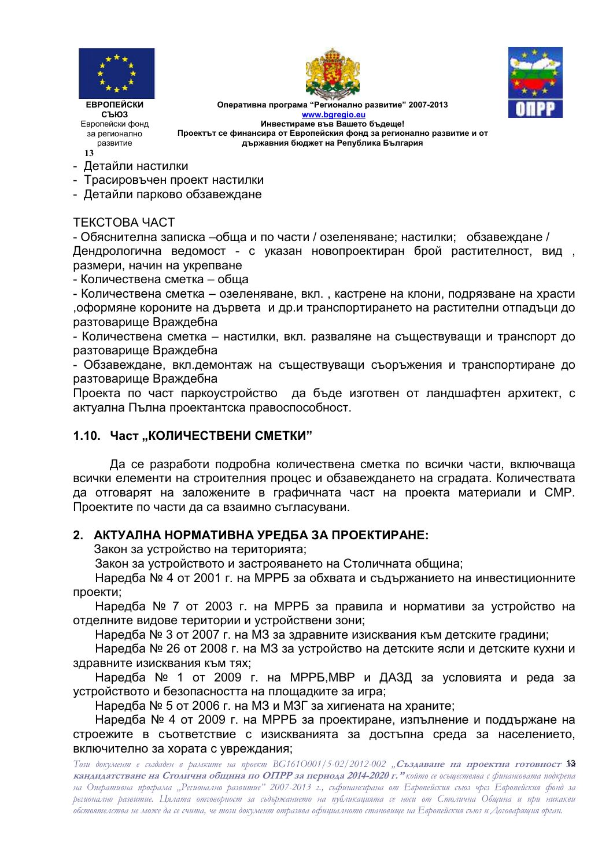

**13** 





Оперативна програма "Регионално развитие" 2007-2013 **www.bgregio.eu Инвестираме във Вашето бъдеще!** Проектът се финансира от Европейския фонд за регионално развитие и от **държавния бюджет на Република България** 

- Детайли настилки
- Трасировъчен проект настилки
- Детайли парково обзавеждане

### TEKCTOBA YACT

- Обяснителна записка –обща и по части / озеленяване; настилки; обзавеждане / Дендрологична ведомост - с указан новопроектиран брой растителност, вид , размери, начин на укрепване

- Количествена сметка – обща

- Количествена сметка – озеленяване, вкл., кастрене на клони, подрязване на храсти оформяне короните на дървета и др.и транспортирането на растителни отпадъци до разтоварище Враждебна

- Количествена сметка – настилки, вкл. разваляне на съществуващи и транспорт до разтоварище Враждебна

- Обзавеждане, вкл.демонтаж на съществуващи съоръжения и транспортиране до разтоварище Враждебна

Проекта по част паркоустройство да бъде изготвен от ландшафтен архитект, с актуална Пълна проектантска правоспособност.

### **1.10. Част,,КОЛИЧЕСТВЕНИ СМЕТКИ"**

Да се разработи подробна количествена сметка по всички части, включваща всички елементи на строителния процес и обзавеждането на сградата. Количествата да отговарят на заложените в графичната част на проекта материали и СМР. Проектите по части да са взаимно съгласувани.

### $2.$  АКТУАЛНА НОРМАТИВНА УРЕДБА ЗА ПРОЕКТИРАНЕ:

Закон за устройство на територията;

Закон за устройството и застрояването на Столичната община;

Наредба № 4 от 2001 г. на МРРБ за обхвата и съдържанието на инвестиционните проекти;

Наредба № 7 от 2003 г. на МРРБ за правила и нормативи за устройство на отделните видове територии и устройствени зони;

Наредба № 3 от 2007 г. на МЗ за здравните изисквания към детските градини;

Наредба № 26 от 2008 г. на МЗ за устройство на детските ясли и детските кухни и здравните изисквания към тях;

Наредба № 1 от 2009 г. на МРРБ,МВР и ДАЗД за условията и реда за устройството и безопасността на площадките за игра;

Наредба № 5 от 2006 г. на МЗ и МЗГ за хигиената на храните;

Наредба № 4 от 2009 г. на МРРБ за проектиране, изпълнение и поддържане на строежите в съответствие с изискванията за достъпна среда за населението, включително за хората с увреждания;

Този документ е създаден в рамките на проект BG161O001/5-02/2012-002 "**Създаване на проектна готовност 33 кандидатстване на Столична община по ОПРР за периода 2014-2020 г." който се осъществява с финансовата подкрепа** на Оперативна програма "Регионално развитие" 2007-2013 г., съфинансирана от Европейския съюз чрез Европейския фонд за регионално развитие. Цялата отговорност за съдържанието на публикацията се носи от Столична Община и при никакви обстоятелства не може да се счита, че този документ отразява офиџиалното становище на Европейския съюз и Договарящия орган.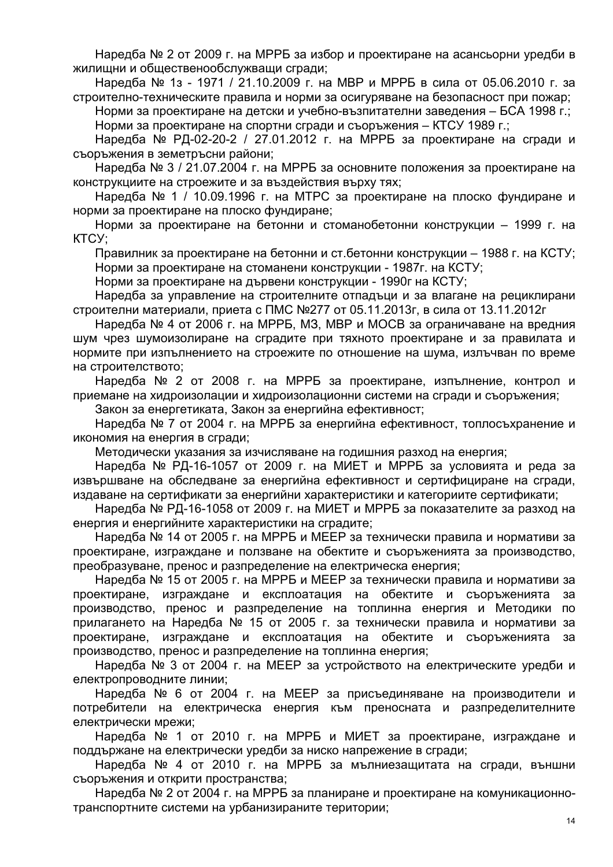Наредба № 2 от 2009 г. на МРРБ за избор и проектиране на асансьорни уредби в жилищни и общественообслужващи сгради;

Наредба № 1з - 1971 / 21.10.2009 г. на МВР и МРРБ в сила от 05.06.2010 г. за строително-техническите правила и норми за осигуряване на безопасност при пожар;

Норми за проектиране на детски и учебно-възпитателни заведения – БСА 1998 г.; Норми за проектиране на спортни сгради и съоръжения – КТСУ 1989 г.;

Наредба № РД-02-20-2 / 27.01.2012 г. на МРРБ за проектиране на сгради и съоръжения в земетръсни райони;

Наредба № 3 / 21.07.2004 г. на МРРБ за основните положения за проектиране на конструкциите на строежите и за въздействия върху тях;

Наредба № 1 / 10.09.1996 г. на МТРС за проектиране на плоско фундиране и норми за проектиране на плоско фундиране;

Норми за проектиране на бетонни и стоманобетонни конструкции – 1999 г. на KTCY;

Правилник за проектиране на бетонни и ст.бетонни конструкции – 1988 г. на КСТУ; Норми за проектиране на стоманени конструкции - 1987г. на КСТУ;

Норми за проектиране на дървени конструкции - 1990г на КСТУ;

Наредба за управление на строителните отпадъци и за влагане на рециклирани строителни материали, приета с ПМС №277 от 05.11.2013г, в сила от 13.11.2012г

Наредба № 4 от 2006 г. на МРРБ, МЗ, МВР и МОСВ за ограничаване на вредния шум чрез шумоизолиране на сградите при тяхното проектиране и за правилата и нормите при изпълнението на строежите по отношение на шума, излъчван по време на строителството;

Наредба № 2 от 2008 г. на МРРБ за проектиране, изпълнение, контрол и приемане на хидроизолации и хидроизолационни системи на сгради и съоръжения;

Закон за енергетиката, Закон за енергийна ефективност;

Наредба № 7 от 2004 г. на МРРБ за енергийна ефективност, топлосъхранение и икономия на енергия в сгради;

Методически указания за изчисляване на годишния разход на енергия;

Наредба № РД-16-1057 от 2009 г. на МИЕТ и МРРБ за условията и реда за извършване на обследване за енергийна ефективност и сертифициране на сгради, издаване на сертификати за енергийни характеристики и категориите сертификати;

Наредба № РД-16-1058 от 2009 г. на МИЕТ и МРРБ за показателите за разход на енергия и енергийните характеристики на сградите;

Наредба № 14 от 2005 г. на МРРБ и МЕЕР за технически правила и нормативи за проектиране, изграждане и ползване на обектите и съоръженията за производство, преобразуване, пренос и разпределение на електрическа енергия;

Наредба № 15 от 2005 г. на МРРБ и МЕЕР за технически правила и нормативи за проектиране, и зграждане и експлоатация на обектите и съоръженията за производство, пренос и разпределение на топлинна енергия и Методики по прилагането на Наредба № 15 от 2005 г. за технически правила и нормативи за проектиране, изграждане и експлоатация на обектите и съоръженията за производство, пренос и разпределение на топлинна енергия;

Наредба № 3 от 2004 г. на МЕЕР за устройството на електрическите уредби и електропроводните линии;

Наредба № 6 от 2004 г. на МЕЕР за присъединяване на производители и потребители на електрическа енергия към преносната и разпределителните електрически мрежи;

Наредба № 1 от 2010 г. на МРРБ и МИЕТ за проектиране, изграждане и поддържане на електрически уредби за ниско напрежение в сгради;

Наредба № 4 от 2010 г. на МРРБ за мълниезащитата на сгради, външни съоръжения и открити пространства;

Наредба № 2 от 2004 г. на МРРБ за планиране и проектиране на комуникационнотранспортните системи на урбанизираните територии;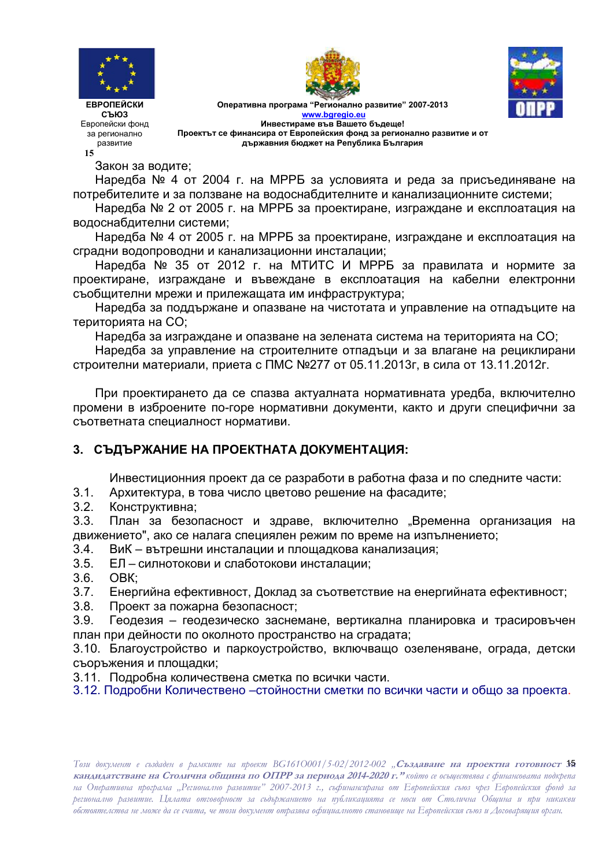



Оперативна програма "Регионално развитие" 2007-2013 **www.bgregio.eu Инвестираме във Вашето бъдеще!** Проектът се финансира от Европейския фонд за регионално развитие и от **държавния бюджет на Република България** 



СЪЮЗ Европейски фонд за регионално развитие **15** 

Закон за водите;

Наредба № 4 от 2004 г. на МРРБ за условията и реда за присъединяване на потребителите и за ползване на водоснабдителните и канализационните системи;

Наредба № 2 от 2005 г. на МРРБ за проектиране, изграждане и експлоатация на водоснабдителни системи;

Наредба № 4 от 2005 г. на МРРБ за проектиране, изграждане и експлоатация на сградни водопроводни и канализационни инсталации;

Наредба № 35 от 2012 г. на МТИТС И МРРБ за правилата и нормите за проектиране, изграждане и въвеждане в експлоатация на кабелни електронни съобщителни мрежи и прилежащата им инфраструктура;

Наредба за поддържане и опазване на чистотата и управление на отпадъците на територията на СО;

Наредба за изграждане и опазване на зелената система на територията на СО;

Наредба за управление на строителните отпадъци и за влагане на рециклирани строителни материали, приета с ПМС №277 от 05.11.2013г, в сила от 13.11.2012г.

При проектирането да се спазва актуалната нормативната уредба, включително промени в изброените по-горе нормативни документи, както и други специфични за съответната специалност нормативи.

# 3. СЪДЪРЖАНИЕ НА ПРОЕКТНАТА ДОКУМЕНТАЦИЯ:

Инвестиционния проект да се разработи в работна фаза и по следните части:

- 3.1. Архитектура, в това число цветово решение на фасадите;
- 3.2. Конструктивна;

3.3. План за безопасност и здраве, включително "Временна организация на движението", ако се налага специялен режим по време на изпълнението;

- 3.4. К – вътрешни инсталации и площадкова канализация;
- 3.5. ЕЛ силнотокови и слаботокови инсталации;
- 3.6. OBK:
- 3.7. Енергийна ефективност, Доклад за съответствие на енергийната ефективност;
- 3.8. Проект за пожарна безопасност:
- 3.9. Геодезия геодезическо заснемане, вертикална планировка и трасировъчен план при дейности по околното пространство на сградата;

3.10. Благоустройство и паркоустройство, включващо озеленяване, ограда, детски съоръжения и площадки;

- 3.11. Подробна количествена сметка по всички части.
- 3.12. Подробни Количествено –стойностни сметки по всички части и общо за проекта.

Този документ е създаден в рамките на проект BG161O001/5-02/2012-002 "**Създаване на проектна готовност № кандидатстване на Столична община по ОПРР за периода 2014-2020 г." който се осъществява с финансовата подкрепа** на Оперативна програма "Регионално развитие" 2007-2013 г., съфинансирана от Европейския съюз чрез Европейския фонд за регионално развитие. Цялата отговорност за съдържанието на публикацията се носи от Столична Община и при никакви обстоятелства не може да се счита, че този документ отразява офиџиалното становище на Европейския съюз и Договарящия орган.